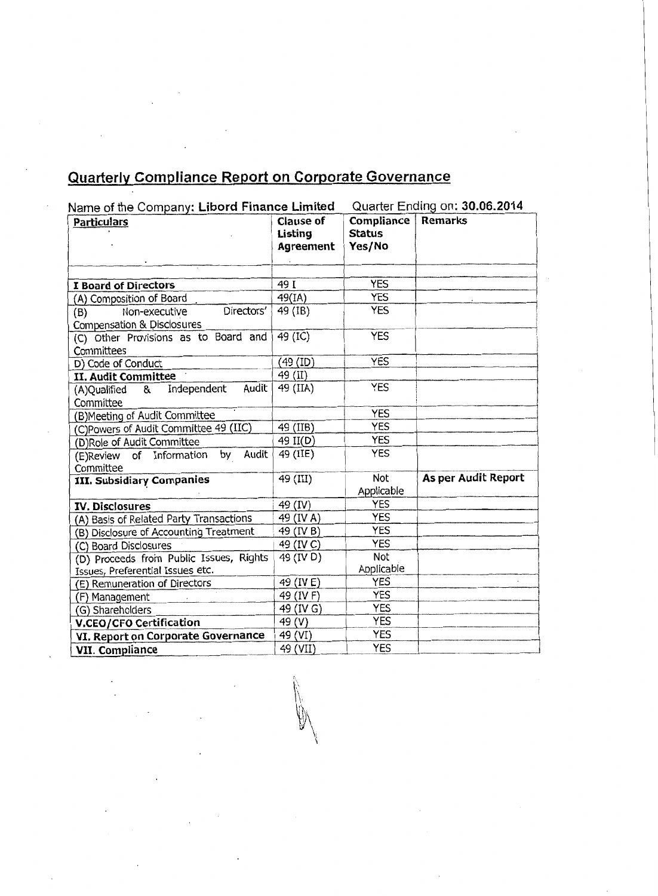## **Quarterly Compliance Report on Corporate Governance**

| Name of the Company: Libord Finance Limited                      |                                          | Quarter Ending on: 30.06.2014                |                     |
|------------------------------------------------------------------|------------------------------------------|----------------------------------------------|---------------------|
| <b>Particulars</b>                                               | <b>Clause of</b><br>Listing<br>Agreement | <b>Compliance</b><br><b>Status</b><br>Yes/No | <b>Remarks</b>      |
|                                                                  |                                          |                                              |                     |
| I Board of Directors                                             | 49 I                                     | <b>YES</b>                                   |                     |
| (A) Composition of Board                                         | 49(IA)                                   | <b>YES</b>                                   |                     |
| Directors'<br>Non-executive<br>(B)<br>Compensation & Disclosures | 49 (IB)                                  | <b>YES</b>                                   |                     |
| (C) Other Provisions as to Board and                             | 49 (IC)                                  | <b>YES</b>                                   |                     |
| Committees<br>D) Code of Conduct                                 | (49 (ID)                                 | <b>YES</b>                                   |                     |
| II. Audit Committee                                              | 49 (II)                                  |                                              |                     |
| Audit<br>Independent<br>(A)Qualified &<br>Committee              | 49 (IIA)                                 | <b>YES</b>                                   |                     |
| (B) Meeting of Audit Committee                                   |                                          | <b>YES</b>                                   |                     |
| (C)Powers of Audit Committee 49 (IIC)                            | 49 (IIB)                                 | <b>YES</b>                                   |                     |
| (D)Role of Audit Committee                                       | 49 II(D)                                 | <b>YES</b>                                   |                     |
| (E)Review of Information by Audit<br>Committee                   | 49 (IIE)                                 | <b>YES</b>                                   |                     |
| <b>III. Subsidiary Companies</b>                                 | 49 (III)                                 | Not<br>Applicable                            | As per Audit Report |
| <b>IV. Disclosures</b>                                           | 49 (IV)                                  | <b>YES</b>                                   |                     |
| (A) Basis of Related Party Transactions                          | 49 (IV A)                                | <b>YES</b>                                   |                     |
| (B) Disclosure of Accounting Treatment                           | 49 (IV B)                                | <b>YES</b>                                   |                     |
| (C) Board Disclosures                                            | 49 (IV C)                                | <b>YES</b>                                   |                     |
| (D) Proceeds from Public Issues, Rights                          | 49 (IV D)                                | <b>Not</b>                                   |                     |
| Issues, Preferential Issues etc.                                 |                                          | Applicable                                   |                     |
| (E) Remuneration of Directors                                    | 49 (IVE)                                 | <b>YES</b>                                   |                     |
| (F) Management                                                   | 49 (IV F)                                | <b>YES</b>                                   |                     |
| (G) Shareholders                                                 | 49 (IV G)                                | <b>YES</b>                                   |                     |
| <b>V.CEO/CFO Certification</b>                                   | 49 (V)                                   | <b>YES</b>                                   |                     |
| VI. Report on Corporate Governance                               | 49 (VI)                                  | <b>YES</b>                                   |                     |
| VII. Compliance                                                  | 49 (VII)                                 | <b>YES</b>                                   |                     |